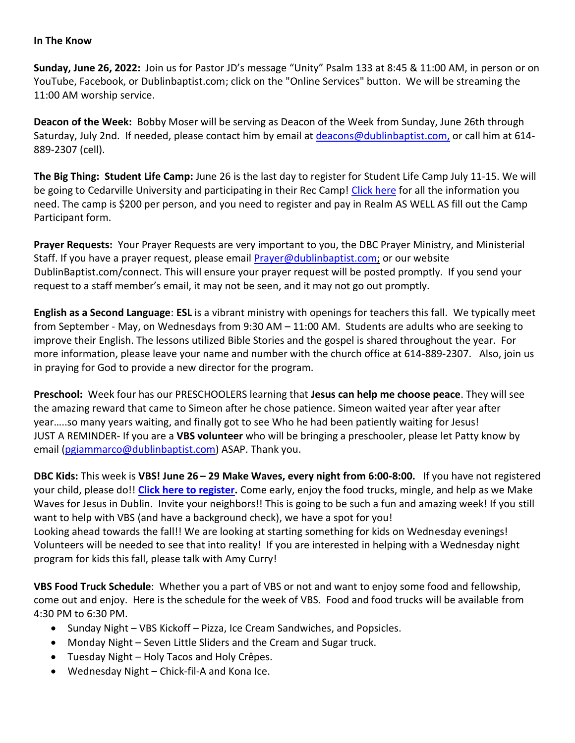## **In The Know**

**Sunday, June 26, 2022:** Join us for Pastor JD's message "Unity" Psalm 133 at 8:45 & 11:00 AM, in person or on YouTube, Facebook, or Dublinbaptist.com; click on the "Online Services" button. We will be streaming the 11:00 AM worship service.

**Deacon of the Week:** Bobby Moser will be serving as Deacon of the Week from Sunday, June 26th through Saturday, July 2nd. If needed, please contact him by email at [deacons@dublinbaptist.com](mailto:deacons@dublinbaptist.com)[,](mailto:rschwarz@systac.com,) or call him at 614- 889-2307 (cell).

**The Big Thing: Student Life Camp:** June 26 is the last day to register for Student Life Camp July 11-15. We will be going to Cedarville University and participating in their Rec Camp! [Click here](https://onrealm.org/DublinBaptist/PublicRegistrations/Event?linkString=OWZhOTUzNzctMmJjZS00NGFkLTgzYzAtYWVhZjAwZjcxZjFi) for all the information you need. The camp is \$200 per person, and you need to register and pay in Realm AS WELL AS fill out the Camp Participant form.

**Prayer Requests:** Your Prayer Requests are very important to you, the DBC Prayer Ministry, and Ministerial Staff. If you have a prayer request, please email [Prayer@dublinbaptist.com;](mailto:Prayer@dublinbaptist.com) or our website DublinBaptist.com/connect. This will ensure your prayer request will be posted promptly. If you send your request to a staff member's email, it may not be seen, and it may not go out promptly.

**English as a Second Language**: **ESL** is a vibrant ministry with openings for teachers this fall. We typically meet from September - May, on Wednesdays from 9:30 AM – 11:00 AM. Students are adults who are seeking to improve their English. The lessons utilized Bible Stories and the gospel is shared throughout the year. For more information, please leave your name and number with the church office at 614-889-2307. Also, join us in praying for God to provide a new director for the program.

**Preschool:** Week four has our PRESCHOOLERS learning that **Jesus can help me choose peace**. They will see the amazing reward that came to Simeon after he chose patience. Simeon waited year after year after year…..so many years waiting, and finally got to see Who he had been patiently waiting for Jesus! JUST A REMINDER- If you are a **VBS volunteer** who will be bringing a preschooler, please let Patty know by email [\(pgiammarco@dublinbaptist.com\)](mailto:pgiammarco@dublinbaptist.com) ASAP. Thank you.

**DBC Kids:** This week is **VBS! June 26 – 29 Make Waves, every night from 6:00-8:00.** If you have not registered your child, please do!! **[Click here to register.](https://forms.office.com/r/9zdaE32Rvm)** Come early, enjoy the food trucks, mingle, and help as we Make Waves for Jesus in Dublin. Invite your neighbors!! This is going to be such a fun and amazing week! If you still want to help with VBS (and have a background check), we have a spot for you! Looking ahead towards the fall!! We are looking at starting something for kids on Wednesday evenings! Volunteers will be needed to see that into reality! If you are interested in helping with a Wednesday night program for kids this fall, please talk with Amy Curry!

**VBS Food Truck Schedule**:Whether you a part of VBS or not and want to enjoy some food and fellowship, come out and enjoy. Here is the schedule for the week of VBS. Food and food trucks will be available from 4:30 PM to 6:30 PM.

- Sunday Night VBS Kickoff Pizza, Ice Cream Sandwiches, and Popsicles.
- Monday Night Seven Little Sliders and the Cream and Sugar truck.
- Tuesday Night Holy Tacos and Holy Crêpes.
- Wednesday Night Chick-fil-A and Kona Ice.